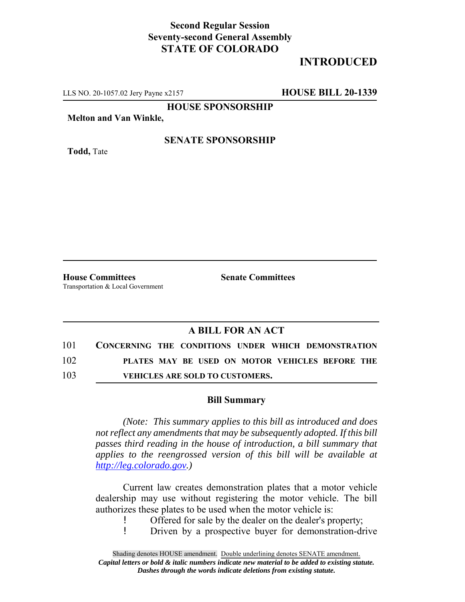## **Second Regular Session Seventy-second General Assembly STATE OF COLORADO**

# **INTRODUCED**

LLS NO. 20-1057.02 Jery Payne x2157 **HOUSE BILL 20-1339**

**HOUSE SPONSORSHIP**

**Melton and Van Winkle,**

**Todd,** Tate

#### **SENATE SPONSORSHIP**

**House Committees Senate Committees** Transportation & Local Government

### **A BILL FOR AN ACT**

| 101 | CONCERNING THE CONDITIONS UNDER WHICH DEMONSTRATION |  |  |                                        |  |                                                 |  |
|-----|-----------------------------------------------------|--|--|----------------------------------------|--|-------------------------------------------------|--|
| 102 |                                                     |  |  |                                        |  | PLATES MAY BE USED ON MOTOR VEHICLES BEFORE THE |  |
| 103 |                                                     |  |  | <b>VEHICLES ARE SOLD TO CUSTOMERS.</b> |  |                                                 |  |

#### **Bill Summary**

*(Note: This summary applies to this bill as introduced and does not reflect any amendments that may be subsequently adopted. If this bill passes third reading in the house of introduction, a bill summary that applies to the reengrossed version of this bill will be available at http://leg.colorado.gov.)*

Current law creates demonstration plates that a motor vehicle dealership may use without registering the motor vehicle. The bill authorizes these plates to be used when the motor vehicle is:

! Offered for sale by the dealer on the dealer's property;<br>! Driven by a prospective buyer for demonstration-di

! Driven by a prospective buyer for demonstration-drive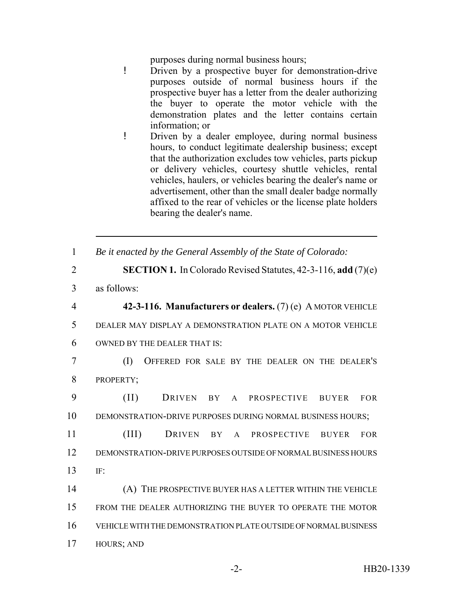purposes during normal business hours;

- ! Driven by a prospective buyer for demonstration-drive purposes outside of normal business hours if the prospective buyer has a letter from the dealer authorizing the buyer to operate the motor vehicle with the demonstration plates and the letter contains certain information; or
- ! Driven by a dealer employee, during normal business hours, to conduct legitimate dealership business; except that the authorization excludes tow vehicles, parts pickup or delivery vehicles, courtesy shuttle vehicles, rental vehicles, haulers, or vehicles bearing the dealer's name or advertisement, other than the small dealer badge normally affixed to the rear of vehicles or the license plate holders bearing the dealer's name.
- 1 *Be it enacted by the General Assembly of the State of Colorado:*
- 2 **SECTION 1.** In Colorado Revised Statutes, 42-3-116, **add** (7)(e) 3 as follows: 4 **42-3-116. Manufacturers or dealers.** (7) (e) A MOTOR VEHICLE 5 DEALER MAY DISPLAY A DEMONSTRATION PLATE ON A MOTOR VEHICLE 6 OWNED BY THE DEALER THAT IS: 7 (I) OFFERED FOR SALE BY THE DEALER ON THE DEALER'S 8 PROPERTY; 9 (II) DRIVEN BY A PROSPECTIVE BUYER FOR 10 DEMONSTRATION-DRIVE PURPOSES DURING NORMAL BUSINESS HOURS;
- 11 (III) DRIVEN BY A PROSPECTIVE BUYER FOR 12 DEMONSTRATION-DRIVE PURPOSES OUTSIDE OF NORMAL BUSINESS HOURS 13 IF:
- 14 (A) THE PROSPECTIVE BUYER HAS A LETTER WITHIN THE VEHICLE 15 FROM THE DEALER AUTHORIZING THE BUYER TO OPERATE THE MOTOR 16 VEHICLE WITH THE DEMONSTRATION PLATE OUTSIDE OF NORMAL BUSINESS 17 HOURS; AND